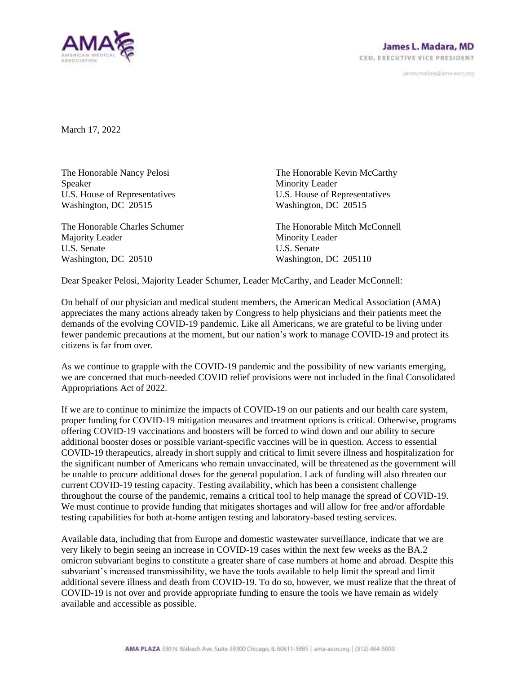

janves.madara@ama-assn.org

March 17, 2022

The Honorable Nancy Pelosi Speaker U.S. House of Representatives Washington, DC 20515

The Honorable Charles Schumer Majority Leader U.S. Senate Washington, DC 20510

The Honorable Kevin McCarthy Minority Leader U.S. House of Representatives Washington, DC 20515

The Honorable Mitch McConnell Minority Leader U.S. Senate Washington, DC 205110

Dear Speaker Pelosi, Majority Leader Schumer, Leader McCarthy, and Leader McConnell:

On behalf of our physician and medical student members, the American Medical Association (AMA) appreciates the many actions already taken by Congress to help physicians and their patients meet the demands of the evolving COVID-19 pandemic. Like all Americans, we are grateful to be living under fewer pandemic precautions at the moment, but our nation's work to manage COVID-19 and protect its citizens is far from over.

As we continue to grapple with the COVID-19 pandemic and the possibility of new variants emerging, we are concerned that much-needed COVID relief provisions were not included in the final Consolidated Appropriations Act of 2022.

If we are to continue to minimize the impacts of COVID-19 on our patients and our health care system, proper funding for COVID-19 mitigation measures and treatment options is critical. Otherwise, programs offering COVID-19 vaccinations and boosters will be forced to wind down and our ability to secure additional booster doses or possible variant-specific vaccines will be in question. Access to essential COVID-19 therapeutics, already in short supply and critical to limit severe illness and hospitalization for the significant number of Americans who remain unvaccinated, will be threatened as the government will be unable to procure additional doses for the general population. Lack of funding will also threaten our current COVID-19 testing capacity. Testing availability, which has been a consistent challenge throughout the course of the pandemic, remains a critical tool to help manage the spread of COVID-19. We must continue to provide funding that mitigates shortages and will allow for free and/or affordable testing capabilities for both at-home antigen testing and laboratory-based testing services.

Available data, including that from Europe and domestic wastewater surveillance, indicate that we are very likely to begin seeing an increase in COVID-19 cases within the next few weeks as the BA.2 omicron subvariant begins to constitute a greater share of case numbers at home and abroad. Despite this subvariant's increased transmissibility, we have the tools available to help limit the spread and limit additional severe illness and death from COVID-19. To do so, however, we must realize that the threat of COVID-19 is not over and provide appropriate funding to ensure the tools we have remain as widely available and accessible as possible.